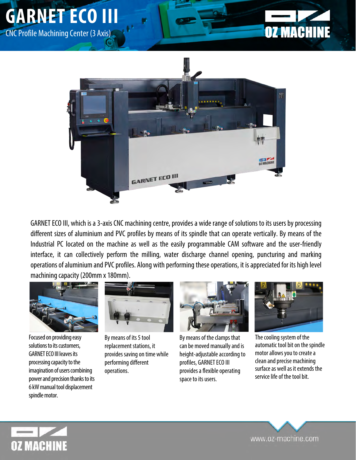





GARNET ECO III, which is a 3-axis CNC machining centre, provides a wide range of solutions to its users by processing different sizes of aluminium and PVC profiles by means of its spindle that can operate vertically. By means of the Industrial PC located on the machine as well as the easily programmable CAM software and the user-friendly interface, it can collectively perform the milling, water discharge channel opening, puncturing and marking operations of aluminium and PVC profiles. Along with performing these operations, it is appreciated for its high level machining capacity (200mm x 180mm).



Focused on providing easy solutions to its customers, GARNET ECO III leaves its processing capacity to the imagination of users combining power and precision thanks to its 6kW manual tool displacement spindle motor.



By means of its 5 tool replacement stations, it provides saving on time while performing different operations.



By means of the clamps that can be moved manually and is height-adjustable according to profiles, GARNET ECO III provides a flexible operating space to its users.



The cooling system of the automatic tool bit on the spindle motor allows you to create a clean and precise machining surface as well as it extends the service life of the tool bit.